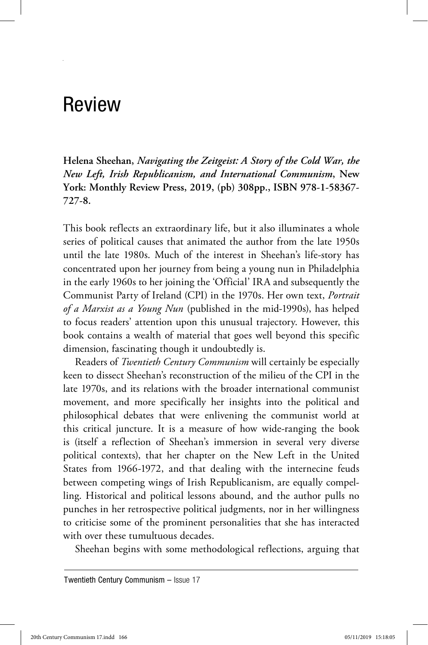## Review

**Helena Sheehan,** *Navigating the Zeitgeist: A Story of the Cold War, the New Left, Irish Republicanism, and International Communism***, New York: Monthly Review Press, 2019, (pb) 308pp., ISBN 978-1-58367-**

This book reflects an extraordinary life, but it also illuminates a whole series of political causes that animated the author from the late 1950s until the late 1980s. Much of the interest in Sheehan's life-story has concentrated upon her journey from being a young nun in Philadelphia in the early 1960s to her joining the 'Official' IRA and subsequently the Communist Party of Ireland (CPI) in the 1970s. Her own text, *Portrait of a Marxist as a Young Nun* (published in the mid-1990s), has helped to focus readers' attention upon this unusual trajectory. However, this book contains a wealth of material that goes well beyond this specific dimension, fascinating though it undoubtedly is.

Readers of *Twentieth Century Communism* will certainly be especially keen to dissect Sheehan's reconstruction of the milieu of the CPI in the late 1970s, and its relations with the broader international communist movement, and more specifically her insights into the political and philosophical debates that were enlivening the communist world at this critical juncture. It is a measure of how wide-ranging the book is (itself a reflection of Sheehan's immersion in several very diverse political contexts), that her chapter on the New Left in the United States from 1966-1972, and that dealing with the internecine feuds between competing wings of Irish Republicanism, are equally compelling. Historical and political lessons abound, and the author pulls no punches in her retrospective political judgments, nor in her willingness to criticise some of the prominent personalities that she has interacted with over these tumultuous decades.

Sheehan begins with some methodological reflections, arguing that

Twentieth Century Communism – Issue 17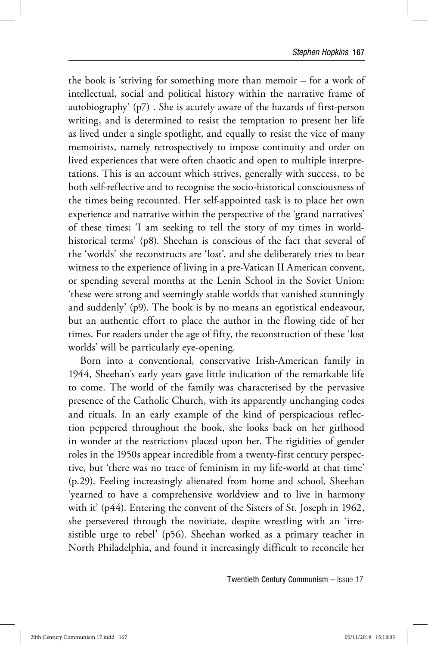the book is 'striving for something more than memoir – for a work of intellectual, social and political history within the narrative frame of autobiography' (p7) . She is acutely aware of the hazards of first-person writing, and is determined to resist the temptation to present her life as lived under a single spotlight, and equally to resist the vice of many memoirists, namely retrospectively to impose continuity and order on lived experiences that were often chaotic and open to multiple interpretations. This is an account which strives, generally with success, to be both self-reflective and to recognise the socio-historical consciousness of the times being recounted. Her self-appointed task is to place her own experience and narrative within the perspective of the 'grand narratives' of these times; 'I am seeking to tell the story of my times in worldhistorical terms' (p8). Sheehan is conscious of the fact that several of the 'worlds' she reconstructs are 'lost', and she deliberately tries to bear witness to the experience of living in a pre-Vatican II American convent, or spending several months at the Lenin School in the Soviet Union: 'these were strong and seemingly stable worlds that vanished stunningly and suddenly' (p9). The book is by no means an egotistical endeavour, but an authentic effort to place the author in the flowing tide of her times. For readers under the age of fifty, the reconstruction of these 'lost worlds' will be particularly eye-opening.

Born into a conventional, conservative Irish-American family in 1944, Sheehan's early years gave little indication of the remarkable life to come. The world of the family was characterised by the pervasive presence of the Catholic Church, with its apparently unchanging codes and rituals. In an early example of the kind of perspicacious reflection peppered throughout the book, she looks back on her girlhood in wonder at the restrictions placed upon her. The rigidities of gender roles in the 1950s appear incredible from a twenty-first century perspective, but 'there was no trace of feminism in my life-world at that time' (p.29). Feeling increasingly alienated from home and school, Sheehan 'yearned to have a comprehensive worldview and to live in harmony with it' (p44). Entering the convent of the Sisters of St. Joseph in 1962, she persevered through the novitiate, despite wrestling with an 'irresistible urge to rebel' (p56). Sheehan worked as a primary teacher in North Philadelphia, and found it increasingly difficult to reconcile her

Twentieth Century Communism – Issue 17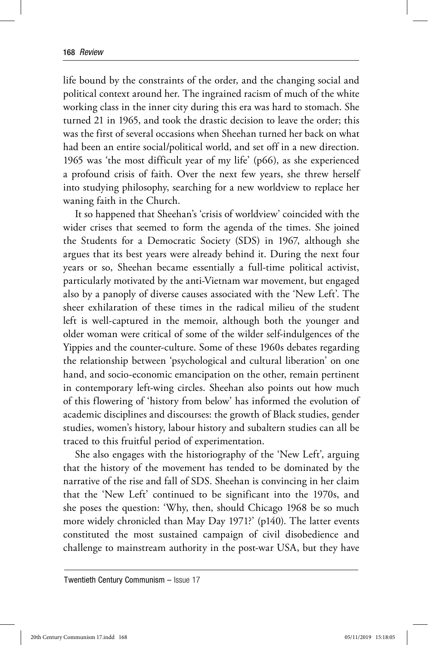life bound by the constraints of the order, and the changing social and political context around her. The ingrained racism of much of the white working class in the inner city during this era was hard to stomach. She turned 21 in 1965, and took the drastic decision to leave the order; this was the first of several occasions when Sheehan turned her back on what had been an entire social/political world, and set off in a new direction. 1965 was 'the most difficult year of my life' (p66), as she experienced a profound crisis of faith. Over the next few years, she threw herself into studying philosophy, searching for a new worldview to replace her waning faith in the Church.

It so happened that Sheehan's 'crisis of worldview' coincided with the wider crises that seemed to form the agenda of the times. She joined the Students for a Democratic Society (SDS) in 1967, although she argues that its best years were already behind it. During the next four years or so, Sheehan became essentially a full-time political activist, particularly motivated by the anti-Vietnam war movement, but engaged also by a panoply of diverse causes associated with the 'New Left'. The sheer exhilaration of these times in the radical milieu of the student left is well-captured in the memoir, although both the younger and older woman were critical of some of the wilder self-indulgences of the Yippies and the counter-culture. Some of these 1960s debates regarding the relationship between 'psychological and cultural liberation' on one hand, and socio-economic emancipation on the other, remain pertinent in contemporary left-wing circles. Sheehan also points out how much of this flowering of 'history from below' has informed the evolution of academic disciplines and discourses: the growth of Black studies, gender studies, women's history, labour history and subaltern studies can all be traced to this fruitful period of experimentation.

She also engages with the historiography of the 'New Left', arguing that the history of the movement has tended to be dominated by the narrative of the rise and fall of SDS. Sheehan is convincing in her claim that the 'New Left' continued to be significant into the 1970s, and she poses the question: 'Why, then, should Chicago 1968 be so much more widely chronicled than May Day 1971?' (p140). The latter events constituted the most sustained campaign of civil disobedience and challenge to mainstream authority in the post-war USA, but they have

Twentieth Century Communism – Issue 17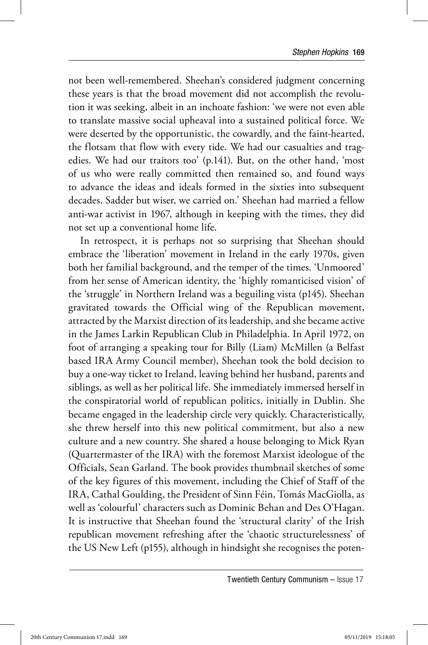not been well-remembered. Sheehan's considered judgment concerning these years is that the broad movement did not accomplish the revolution it was seeking, albeit in an inchoate fashion: 'we were not even able to translate massive social upheaval into a sustained political force. We were deserted by the opportunistic, the cowardly, and the faint-hearted, the flotsam that flow with every tide. We had our casualties and tragedies. We had our traitors too' (p.141). But, on the other hand, 'most of us who were really committed then remained so, and found ways to advance the ideas and ideals formed in the sixties into subsequent decades. Sadder but wiser, we carried on.' Sheehan had married a fellow anti-war activist in 1967, although in keeping with the times, they did not set up a conventional home life.

In retrospect, it is perhaps not so surprising that Sheehan should embrace the 'liberation' movement in Ireland in the early 1970s, given both her familial background, and the temper of the times. 'Unmoored' from her sense of American identity, the 'highly romanticised vision' of the 'struggle' in Northern Ireland was a beguiling vista (p145). Sheehan gravitated towards the Official wing of the Republican movement, attracted by the Marxist direction of its leadership, and she became active in the James Larkin Republican Club in Philadelphia. In April 1972, on foot of arranging a speaking tour for Billy (Liam) McMillen (a Belfast based IRA Army Council member), Sheehan took the bold decision to buy a one-way ticket to Ireland, leaving behind her husband, parents and siblings, as well as her political life. She immediately immersed herself in the conspiratorial world of republican politics, initially in Dublin. She became engaged in the leadership circle very quickly. Characteristically, she threw herself into this new political commitment, but also a new culture and a new country. She shared a house belonging to Mick Ryan (Quartermaster of the IRA) with the foremost Marxist ideologue of the Officials, Sean Garland. The book provides thumbnail sketches of some of the key figures of this movement, including the Chief of Staff of the IRA, Cathal Goulding, the President of Sinn Féin, Tomás MacGiolla, as well as 'colourful' characters such as Dominic Behan and Des O'Hagan. It is instructive that Sheehan found the 'structural clarity' of the Irish republican movement refreshing after the 'chaotic structurelessness' of the US New Left (p155), although in hindsight she recognises the poten-

Twentieth Century Communism – Issue 17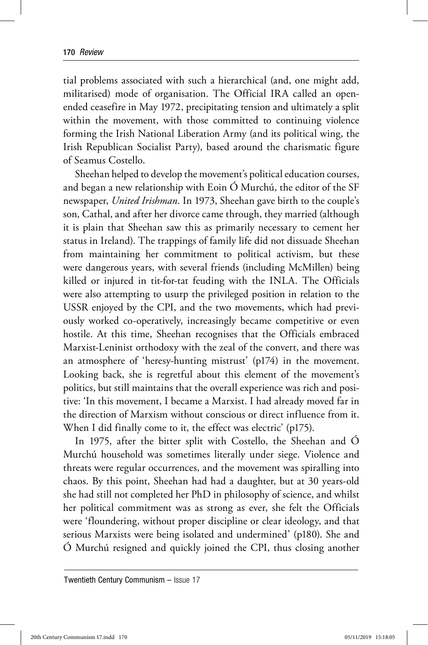tial problems associated with such a hierarchical (and, one might add, militarised) mode of organisation. The Official IRA called an openended ceasefire in May 1972, precipitating tension and ultimately a split within the movement, with those committed to continuing violence forming the Irish National Liberation Army (and its political wing, the Irish Republican Socialist Party), based around the charismatic figure of Seamus Costello.

Sheehan helped to develop the movement's political education courses, and began a new relationship with Eoin Ó Murchú, the editor of the SF newspaper, *United Irishman*. In 1973, Sheehan gave birth to the couple's son, Cathal, and after her divorce came through, they married (although it is plain that Sheehan saw this as primarily necessary to cement her status in Ireland). The trappings of family life did not dissuade Sheehan from maintaining her commitment to political activism, but these were dangerous years, with several friends (including McMillen) being killed or injured in tit-for-tat feuding with the INLA. The Officials were also attempting to usurp the privileged position in relation to the USSR enjoyed by the CPI, and the two movements, which had previously worked co-operatively, increasingly became competitive or even hostile. At this time, Sheehan recognises that the Officials embraced Marxist-Leninist orthodoxy with the zeal of the convert, and there was an atmosphere of 'heresy-hunting mistrust' (p174) in the movement. Looking back, she is regretful about this element of the movement's politics, but still maintains that the overall experience was rich and positive: 'In this movement, I became a Marxist. I had already moved far in the direction of Marxism without conscious or direct influence from it. When I did finally come to it, the effect was electric' (p175).

In 1975, after the bitter split with Costello, the Sheehan and Ó Murchú household was sometimes literally under siege. Violence and threats were regular occurrences, and the movement was spiralling into chaos. By this point, Sheehan had had a daughter, but at 30 years-old she had still not completed her PhD in philosophy of science, and whilst her political commitment was as strong as ever, she felt the Officials were 'floundering, without proper discipline or clear ideology, and that serious Marxists were being isolated and undermined' (p180). She and Ó Murchú resigned and quickly joined the CPI, thus closing another

Twentieth Century Communism – Issue 17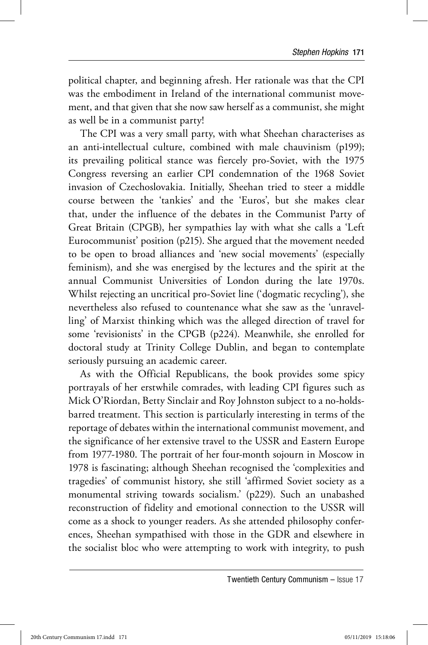political chapter, and beginning afresh. Her rationale was that the CPI was the embodiment in Ireland of the international communist movement, and that given that she now saw herself as a communist, she might as well be in a communist party!

The CPI was a very small party, with what Sheehan characterises as an anti-intellectual culture, combined with male chauvinism (p199); its prevailing political stance was fiercely pro-Soviet, with the 1975 Congress reversing an earlier CPI condemnation of the 1968 Soviet invasion of Czechoslovakia. Initially, Sheehan tried to steer a middle course between the 'tankies' and the 'Euros', but she makes clear that, under the influence of the debates in the Communist Party of Great Britain (CPGB), her sympathies lay with what she calls a 'Left Eurocommunist' position (p215). She argued that the movement needed to be open to broad alliances and 'new social movements' (especially feminism), and she was energised by the lectures and the spirit at the annual Communist Universities of London during the late 1970s. Whilst rejecting an uncritical pro-Soviet line ('dogmatic recycling'), she nevertheless also refused to countenance what she saw as the 'unravelling' of Marxist thinking which was the alleged direction of travel for some 'revisionists' in the CPGB (p224). Meanwhile, she enrolled for doctoral study at Trinity College Dublin, and began to contemplate seriously pursuing an academic career.

As with the Official Republicans, the book provides some spicy portrayals of her erstwhile comrades, with leading CPI figures such as Mick O'Riordan, Betty Sinclair and Roy Johnston subject to a no-holdsbarred treatment. This section is particularly interesting in terms of the reportage of debates within the international communist movement, and the significance of her extensive travel to the USSR and Eastern Europe from 1977-1980. The portrait of her four-month sojourn in Moscow in 1978 is fascinating; although Sheehan recognised the 'complexities and tragedies' of communist history, she still 'affirmed Soviet society as a monumental striving towards socialism.' (p229). Such an unabashed reconstruction of fidelity and emotional connection to the USSR will come as a shock to younger readers. As she attended philosophy conferences, Sheehan sympathised with those in the GDR and elsewhere in the socialist bloc who were attempting to work with integrity, to push

Twentieth Century Communism – Issue 17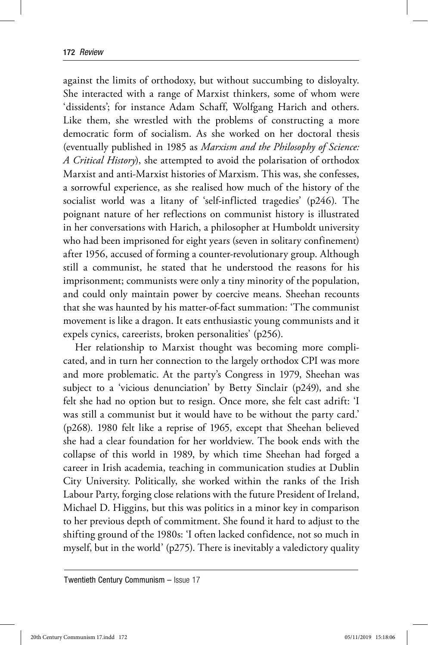against the limits of orthodoxy, but without succumbing to disloyalty. She interacted with a range of Marxist thinkers, some of whom were 'dissidents'; for instance Adam Schaff, Wolfgang Harich and others. Like them, she wrestled with the problems of constructing a more democratic form of socialism. As she worked on her doctoral thesis (eventually published in 1985 as *Marxism and the Philosophy of Science: A Critical History*), she attempted to avoid the polarisation of orthodox Marxist and anti-Marxist histories of Marxism. This was, she confesses, a sorrowful experience, as she realised how much of the history of the socialist world was a litany of 'self-inflicted tragedies' (p246). The poignant nature of her reflections on communist history is illustrated in her conversations with Harich, a philosopher at Humboldt university who had been imprisoned for eight years (seven in solitary confinement) after 1956, accused of forming a counter-revolutionary group. Although still a communist, he stated that he understood the reasons for his imprisonment; communists were only a tiny minority of the population, and could only maintain power by coercive means. Sheehan recounts that she was haunted by his matter-of-fact summation: 'The communist movement is like a dragon. It eats enthusiastic young communists and it expels cynics, careerists, broken personalities' (p256).

Her relationship to Marxist thought was becoming more complicated, and in turn her connection to the largely orthodox CPI was more and more problematic. At the party's Congress in 1979, Sheehan was subject to a 'vicious denunciation' by Betty Sinclair (p249), and she felt she had no option but to resign. Once more, she felt cast adrift: 'I was still a communist but it would have to be without the party card.' (p268). 1980 felt like a reprise of 1965, except that Sheehan believed she had a clear foundation for her worldview. The book ends with the collapse of this world in 1989, by which time Sheehan had forged a career in Irish academia, teaching in communication studies at Dublin City University. Politically, she worked within the ranks of the Irish Labour Party, forging close relations with the future President of Ireland, Michael D. Higgins, but this was politics in a minor key in comparison to her previous depth of commitment. She found it hard to adjust to the shifting ground of the 1980s: 'I often lacked confidence, not so much in myself, but in the world' (p275). There is inevitably a valedictory quality